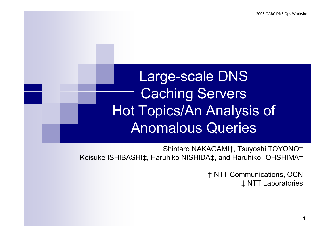### Large-scale DNS Caching Servers Hot Topics/An Analysis of Anomalous Queries

Shintaro NAKAGAMI†, Tsuyoshi TOYONO‡ Keisuke ISHIBASHI‡, Haruhiko NISHIDA‡, and Haruhiko OHSHIMA†

> † NTT Communications, OCN ‡ NTT Laboratories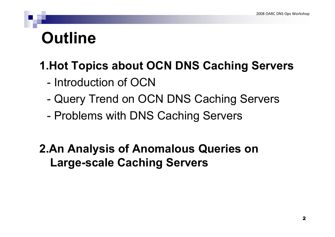### **Outline**

### **1 Hot Topics about OCN DNS Caching Servers 1.Hot Caching Servers**

- Introduction of OCN
- -Query Trend on OCN DNS Caching Servers
- Problems with DNS Caching Servers

#### **2.An Analysis of Anomalous Queries on Large-scale Caching Servers**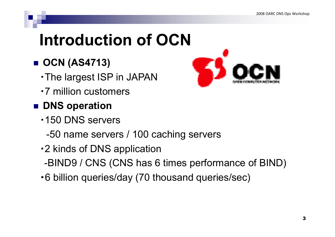# **Introduction of OCN**

- **OCN (AS4713)**
	- ・The largest ISP in JAPAN
	- ・7 million customers
- **<u>DNS</u>** operation
	- ・150 DNS servers
		- -50 name servers / 100 caching servers
	- -2 kinds of DNS application
	- -BIND9 / CNS (CNS has 6 times performance of BIND)
	- ・6 billion queries/day (70 thousand queries/sec)

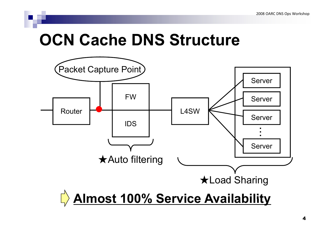### **OCN Cache DNS Structure**

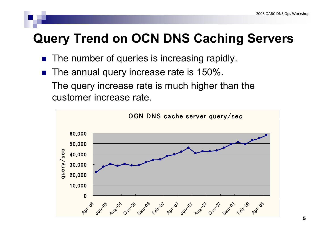### **Query Trend on OCN DNS Caching Servers**

- **The number of queries is increasing rapidly.**
- T. The annual query increase rate is 150%.

The query increase rate is much higher than the customer increase rate.

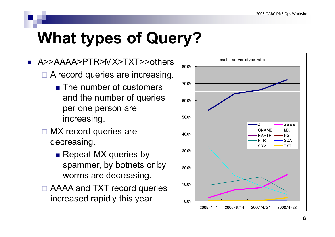# **What types of Query?**

- $\blacksquare$   $\sf A$ >> $\sf A$ AAA> $\sf PTR$ > $\sf MX$ > $\sf TXT$ >> $\sf o$ the $\sf rs$   $\vdash$   $\sf s$   $\sf s$   $\sf s$   $\sf s$   $\sf s$   $\sf s$   $\sf s$   $\sf s$   $\sf s$   $\sf s$   $\sf s$   $\sf s$   $\sf s$   $\sf s$   $\sf s$   $\sf s$   $\sf s$   $\sf s$   $\sf s$   $\sf s$   $\sf s$   $\sf s$   $\sf s$   $\sf s$   $\sf s$   $\sf s$  □ A record queries are increasing.
	- $\blacksquare$  The number of customers  $\blacksquare$   $^{70.0\%}$ and the number of queries per one person are  $\blacksquare$ increasing.  $\blacksquare$   $\blacksquare$   $\blacksquare$   $\blacksquare$
	- □ MX record queries are decreasin g. g
		- Repeat MX queries by spammer, by botnets or by  $\|$ <sub>20.0%</sub> worms are decreasing.
	- □ AAAA and TXT record queries increased rapidly this year.  $\qquad \qquad \rule{2mm}{2mm} \mid$   $_{\text{o.0\%}}$

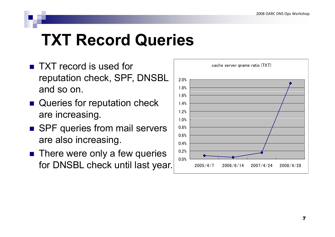## **TXT Record Queries**

- **TXT record is used for** the cache server qname ratio (TXT) reputation check, SPF, DNSBL and so on.
- Queries for reputation check are increasin g  $\mathsf g.$  1
- SPF queries from mail servers are also increasing.  $\begin{array}{|c|c|c|c|c|c|c|c|}\n\hline\n\text{are also increasing.} & & \text{else.} \n\end{array}$
- **There were only a few queries** for DNSBL check until last year.

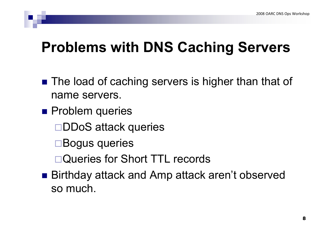### **Problems with DNS Caching Servers**

- The load of caching servers is higher than that of name servers.
- **Problem queries** 
	- □DDoS attack queries
	- Bogus queries
	- □Queries for Short TTL records
- Birthday attack and Amp attack aren't observed so much.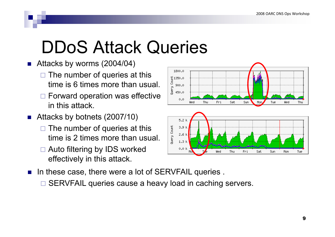# DDoS Attack Que ries

- Attacks by worms (2004/04)
	- $\Box$  The number of queries at this time is 6 times more than usual.
	- $\square$  Forward operation was effective in this attack.
- Attacks by botnets (2007/10)
	- $\Box$  The number of queries at this time is 2 times more than usual.
	- □ Auto filtering by IDS worked effectively in this attack.
- $\blacksquare$  In these case, there were a lot of SERVFAIL queries.
	- □ SERVFAIL queries cause a heavy load in caching servers.

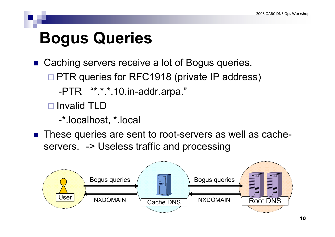## **Bogus Queries**

- Caching servers receive a lot of Bogus queries. □ PTR queries for RFC1918 (private IP address) -PTR "\*.\*.\*.10.in-addr.arpa."
	- □ Invalid TLD

-\*.localhost, \*.local

■ These queries are sent to root-servers as well as cacheservers. - > Useless traffic and processing

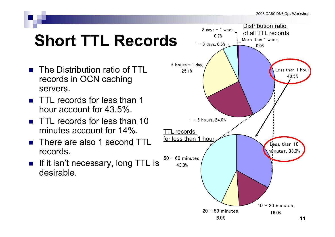# **Short TTL Records**

- **The Distribution ratio of TTL** records in OCN caching servers.
- TTL records for less than 1 hour account for 43.5%.
- $\blacksquare$  TTL records for less than 10 minutes account for 14%.
- There are also 1 second TTL records.
- **If it isn't necessary, long TTL is** desirable desirable.

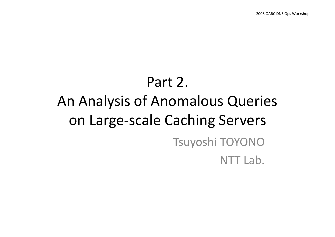# Part 2. An Analysis of Anomalous Queries on Large-scale Caching Servers Tsuyoshi TOYONO NTT Lab.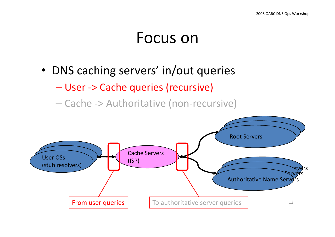### Focus on

- DNS caching servers' in/out queries
	- –- User -> Cache queries (recursive)
	- Cache -> Authoritative (non-recursive)

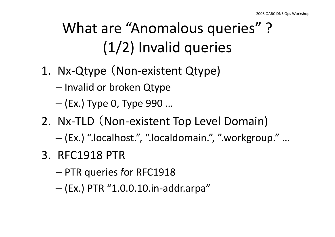# What are "Anomalous queries"? (1/2) Invalid queries

- 1. Nx-Qtype (Non-existent Qtype)
	- Invalid or broken Qtype
	- –(Ex.) Type 0, Type 990 …
- 2. Nx-TLD (Non-existent Top Level Domain)
	- –(Ex.) ".localhost.", ".localdomain.", ".workgroup." …
- 3. RFC1918 PTR
	- –PTR queries for RFC1918
	- –(Ex.) PTR "1.0.0.10.in-addr.arpa"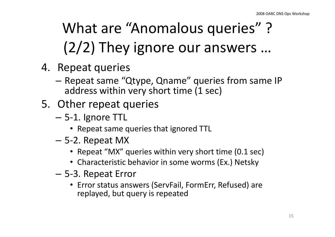# What are "Anomalous queries"? (2/2) They ignore our answers …

- 4. Repeat queries
	- $-$  Repeat same "Qtype, Qname" queries from same IP address within very short time (1 sec)
- 5. Other repeat queries
	- 5-1. Ignore TTL
		- Repeat same queries that ignored TTL
	- 5-2. Re peat MX
		- Repeat "MX" queries within very short time (0.1 sec)
		- Characteristic behavior in some worms (Ex.) Netsky
	- $-$  5-3. Repeat Error
		- Error status answers (ServFail, FormErr, Refused) are replayed, but query is repeated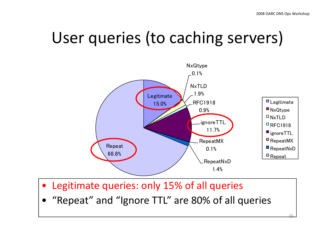16

## User queries (to caching servers)



- $\bullet$ Legitimate queries: only 15% of all queries
- •• "Repeat" and "Ignore TTL" are 80% of all queries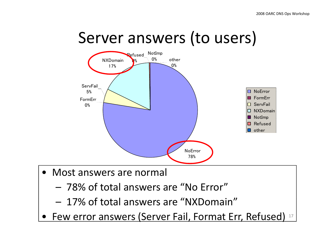



- Most answers are normal
	- 78% of total answers are "No Error"
	- 17% of total answers are "NXDomain"
- Few error answers (Server Fail, Format Err, Refused) 17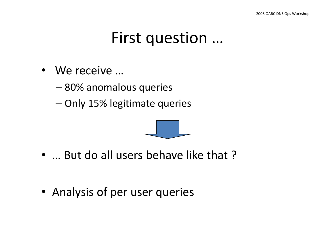### First question ...

- We receive …
	- –80% anomalous queries
	- –– Only 15% legitimate queries



- … But do all users behave like that ?
- Analysis of per user queries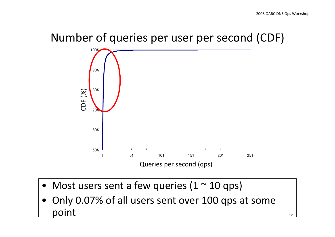$1<sub>0</sub>$ 

#### Number of queries per user per second (CDF)



- Most users sent a few queries (1  $\sim$  10 qps)
- •• Only 0.07% of all users sent over 100 qps at some point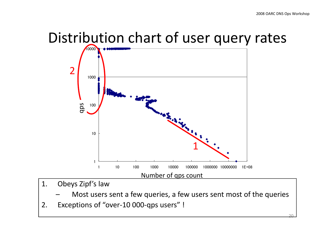# Distribution chart of user query rates



- 1. Obeys Zipf's law
	- Most users sent a few queries, a few users sent most of the queries
- 2. Exceptions of "over-10 000-qps users" !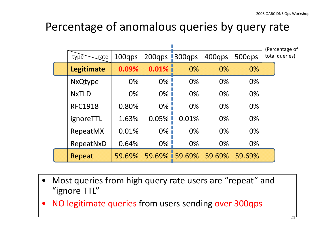#### Percentage of anomalous queries by query rate

|                   |        |               |                 |        |        | (Percentage of |
|-------------------|--------|---------------|-----------------|--------|--------|----------------|
| type<br>rate      | 100qps | 200qps 300qps |                 | 400qps | 500gps | total queries) |
| <b>Legitimate</b> | 0.09%  | $0.01\%$      | $0\%$           | $0\%$  | $0\%$  |                |
| <b>NxQtype</b>    | 0%     | 0%            | $0\%$           | 0%     | 0%     |                |
| <b>NxTLD</b>      | 0%     | $0\%$         | 0%              | 0%     | 0%     |                |
| <b>RFC1918</b>    | 0.80%  | $0\%$         | 0%              | 0%     | 0%     |                |
| ignoreTTL         | 1.63%  | 0.05%         | 0.01%           | 0%     | $0\%$  |                |
| RepeatMX          | 0.01%  | $0\%$ i       | 0%              | 0%     | $0\%$  |                |
| RepeatNxD         | 0.64%  | 0%            | 0%              | 0%     | 0%     |                |
| Repeat            | 59.69% |               | 59.69% i 59.69% | 59.69% | 59.69% |                |

- • Most queries from high query rate users are "repeat" and "ignore TTL"
- $\bullet$ NO legitimate queries from users sending over 300qps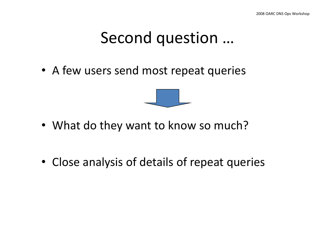### Second question ...

• A few users send most repeat queries



- What do they want to know so much?
- Close analysis of details of repeat queries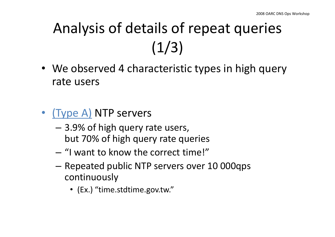# Analysis of details of repeat queries  $(1/3)$

- We observed 4 characteristic types in high query rate users
- •• (Type A) NTP servers
	- 3.9% of high query rate users, but 70% of high query rate queries
	- "I want to know the correct time!"
	- –– Repeated public NTP servers over 10 000qps continuously
		- (Ex.) "time.stdtime.gov.tw."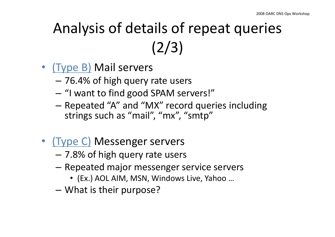# Analysis of details of repeat queries (2/3)

- (Type B) Mail servers
	- 76.4% of high query rate users
	- – $-$  "I want to find good SPAM servers!"
	- Repeated "A" and "MX" record queries including strings such as "mail", "mx", "smtp"
- •• (Type C) Messenger servers
	- –7.8% of high query rate users
	- Repeated major messenger service servers
		- (Ex.) AOL AIM, MSN, Windows Live, Yahoo …
	- –What is their purpose?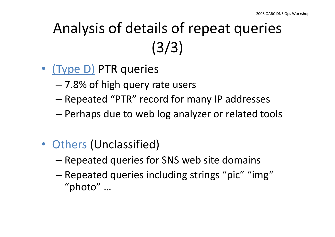# Analysis of details of repeat queries (3/3)

- (Type D) PTR queries
	- –7.8% of high query rate users
	- –Repeated "PTR" record for many IP addresses
	- Perhaps due to web log analyzer or related tools
- Others (Unclassified)
	- –Repeated queries for SNS web site domains
	- –– Repeated queries including strings "pic" "img" "photo" …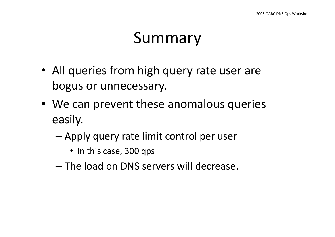## Summary

- All queries from high query rate user are bogus or unnecessary.
- We can prevent these anomalous queries easily.
	- – Apply query rate limit control per user
		- In this case, 300 qps
	- The load on DNS servers will decrease.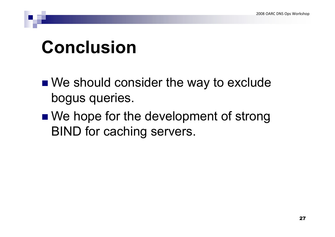# **Conclusion**

- We should consider the way to exclude bogus queries.
- We hope for the development of strong BIND for caching servers.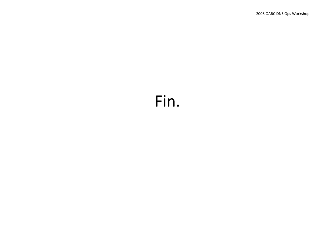### Fin.